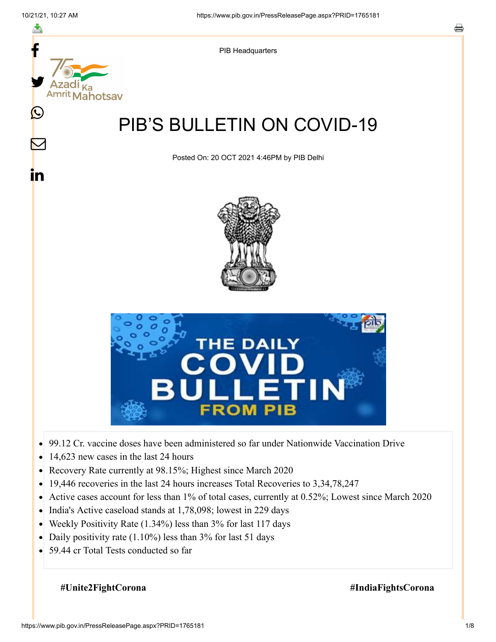≛

 $\bm{\nabla}$ 

<u>in</u>



PIB Headquarters

# PIB'S BULLETIN ON COVID-19

Posted On: 20 OCT 2021 4:46PM by PIB Delhi





- 99.12 Cr. vaccine doses have been administered so far under Nationwide Vaccination Drive  $\bullet$
- 14,623 new cases in the last 24 hours  $\bullet$
- Recovery Rate currently at 98.15%; Highest since March 2020  $\bullet$
- 19,446 recoveries in the last 24 hours increases Total Recoveries to 3,34,78,247  $\bullet$
- Active cases account for less than 1% of total cases, currently at 0.52%; Lowest since March 2020  $\bullet$
- India's Active caseload stands at 1,78,098; lowest in 229 days  $\bullet$
- Weekly Positivity Rate (1.34%) less than 3% for last 117 days  $\bullet$
- Daily positivity rate (1.10%) less than 3% for last 51 days  $\bullet$
- 59.44 cr Total Tests conducted so far  $\bullet$

#### **#Unite2FightCorona #IndiaFightsCorona**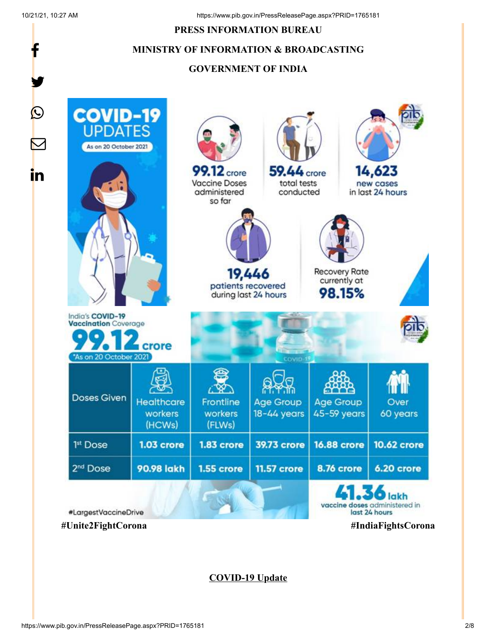#### **PRESS INFORMATION BUREAU**

### **MINISTRY OF INFORMATION & BROADCASTING**

#### **GOVERNMENT OF INDIA**



**COVID-19 Update**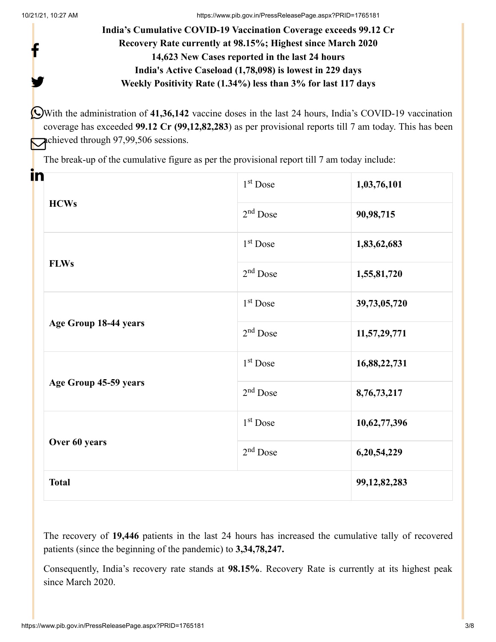y.

## **India's Cumulative COVID-19 Vaccination Coverage exceeds 99.12 Cr Recovery Rate currently at 98.15%; Highest since March 2020 14,623 New Cases reported in the last 24 hours India's Active Caseload (1,78,098) is lowest in 229 days Weekly Positivity Rate (1.34%) less than 3% for last 117 days**

With the administration of **41,36,142** vaccine doses in the last 24 hours, India's COVID-19 vaccination coverage has exceeded **99.12 Cr (99,12,82,283**) as per provisional reports till 7 am today. This has been chieved through 97,99,506 sessions.

The break-up of the cumulative figure as per the provisional report till 7 am today include:

| in |                       |                      |                 |
|----|-----------------------|----------------------|-----------------|
|    | <b>HCWs</b>           | $1st$ Dose           | 1,03,76,101     |
|    |                       | $2nd$ Dose           | 90,98,715       |
|    | <b>FLWs</b>           | $1st$ Dose           | 1,83,62,683     |
|    |                       | $2nd$ Dose           | 1,55,81,720     |
|    | Age Group 18-44 years | 1 <sup>st</sup> Dose | 39,73,05,720    |
|    |                       | $2nd$ Dose           | 11,57,29,771    |
|    | Age Group 45-59 years | $1st$ Dose           | 16,88,22,731    |
|    |                       | $2nd$ Dose           | 8,76,73,217     |
|    | Over 60 years         | $1st$ Dose           | 10,62,77,396    |
|    |                       | $2nd$ Dose           | 6,20,54,229     |
|    | <b>Total</b>          |                      | 99, 12, 82, 283 |

The recovery of **19,446** patients in the last 24 hours has increased the cumulative tally of recovered patients (since the beginning of the pandemic) to **3,34,78,247.**

Consequently, India's recovery rate stands at **98.15%**. Recovery Rate is currently at its highest peak since March 2020.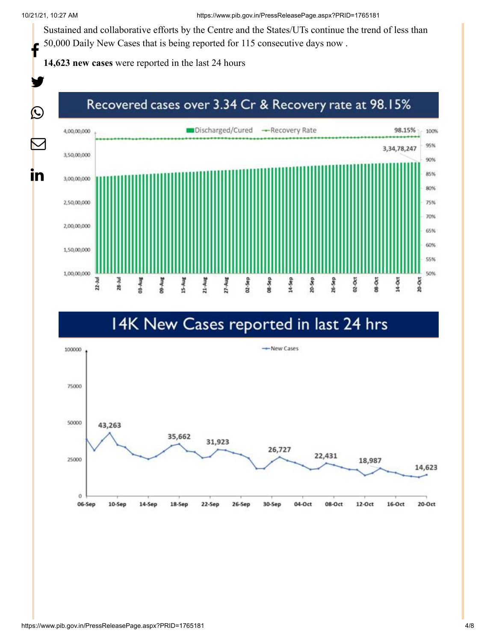Sustained and collaborative efforts by the Centre and the States/UTs continue the trend of less than 50,000 Daily New Cases that is being reported for 115 consecutive days now .

**14,623 new cases** were reported in the last 24 hours



# 14K New Cases reported in last 24 hrs

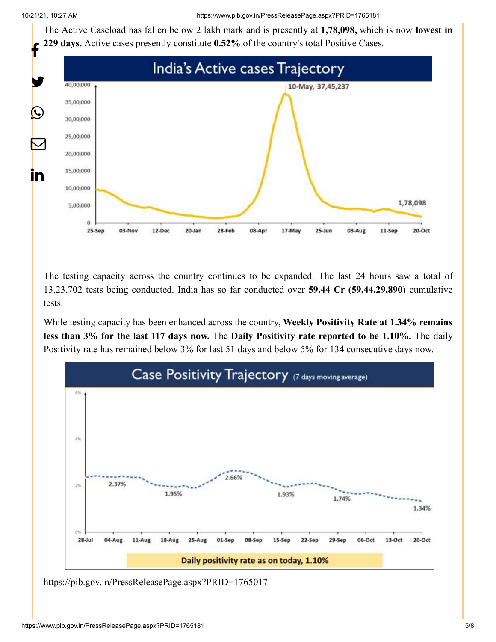The Active Caseload has fallen below 2 lakh mark and is presently at **1,78,098,** which is now **lowest in 229 days.** Active cases presently constitute **0.52%** of the country's total Positive Cases.



The testing capacity across the country continues to be expanded. The last 24 hours saw a total of 13,23,702 tests being conducted. India has so far conducted over **59.44 Cr (59,44,29,890**) cumulative tests.

While testing capacity has been enhanced across the country, **Weekly Positivity Rate at 1.34% remains less than 3% for the last 117 days now.** The **Daily Positivity rate reported to be 1.10%.** The daily Positivity rate has remained below 3% for last 51 days and below 5% for 134 consecutive days now.



<https://pib.gov.in/PressReleasePage.aspx?PRID=1765017>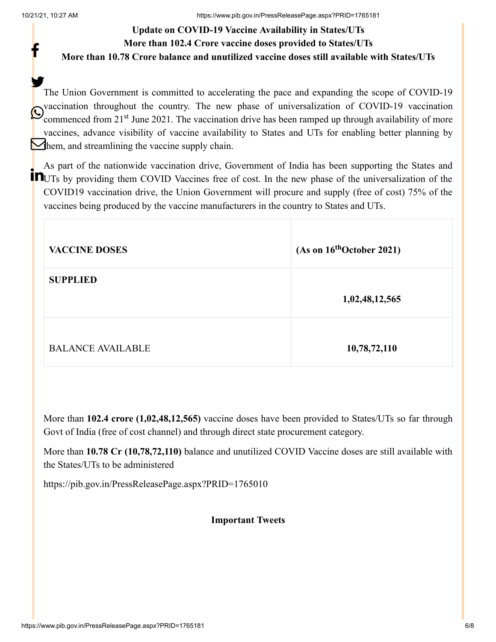## **Update on COVID-19 Vaccine Availability in States/UTs More than 102.4 Crore vaccine doses provided to States/UTs More than 10.78 Crore balance and unutilized vaccine doses still available with States/UTs**

The Union Government is committed to accelerating the pace and expanding the scope of COVID-19 vaccination throughout the country. The new phase of universalization of COVID-19 vaccination Commenced from 21<sup>st</sup> June 2021. The vaccination drive has been ramped up through availability of more vaccines, advance visibility of vaccine availability to States and UTs for enabling better planning by  $\sum$  hem, and streamlining the vaccine supply chain. У.

As part of the nationwide vaccination drive, Government of India has been supporting the States and **IN**UTs by providing them COVID Vaccines free of cost. In the new phase of the universalization of the COVID19 vaccination drive, the Union Government will procure and supply (free of cost) 75% of the vaccines being produced by the vaccine manufacturers in the country to States and UTs.

| <b>VACCINE DOSES</b>     | (As on $16^{th}$ October 2021) |
|--------------------------|--------------------------------|
| <b>SUPPLIED</b>          | 1,02,48,12,565                 |
| <b>BALANCE AVAILABLE</b> | 10,78,72,110                   |

More than **102.4 crore (1,02,48,12,565)** vaccine doses have been provided to States/UTs so far through Govt of India (free of cost channel) and through direct state procurement category.

More than **10.78 Cr (10,78,72,110)** balance and unutilized COVID Vaccine doses are still available with the States/UTs to be administered

<https://pib.gov.in/PressReleasePage.aspx?PRID=1765010>

#### **Important Tweets**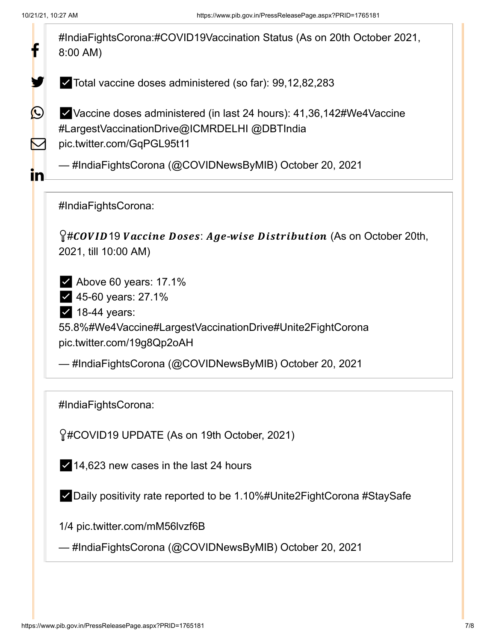

✅14,623 new cases in the last 24 hours

✅Daily positivity rate reported to be 1.10%[#Unite2FightCorona](https://twitter.com/hashtag/Unite2FightCorona?src=hash&ref_src=twsrc%5Etfw) [#StaySafe](https://twitter.com/hashtag/StaySafe?src=hash&ref_src=twsrc%5Etfw)

1/4 [pic.twitter.com/mM56lvzf6B](https://t.co/mM56lvzf6B)

— #IndiaFightsCorona (@COVIDNewsByMIB) [October 20, 2021](https://twitter.com/COVIDNewsByMIB/status/1450694795689562120?ref_src=twsrc%5Etfw)